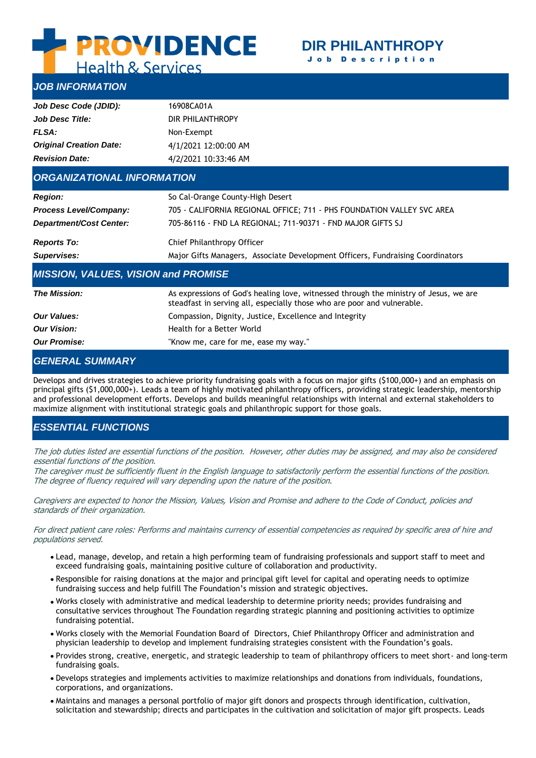# **E PROVIDENCE**

## **DIR PHILANTHROPY** J o b D e s c r i p t i o n

**Health & Services** 

# *JOB INFORMATION*

| Job Desc Code (JDID):             | 16908CA01A           |  |  |
|-----------------------------------|----------------------|--|--|
| <b>Job Desc Title:</b>            | DIR PHILANTHROPY     |  |  |
| FLSA:                             | Non-Exempt           |  |  |
| <b>Original Creation Date:</b>    | 4/1/2021 12:00:00 AM |  |  |
| <b>Revision Date:</b>             | 4/2/2021 10:33:46 AM |  |  |
| <b>ORGANIZATIONAL INFORMATION</b> |                      |  |  |

| <b>Region:</b>                 | So Cal-Orange County-High Desert                                               |  |
|--------------------------------|--------------------------------------------------------------------------------|--|
| <b>Process Level/Company:</b>  | 705 - CALIFORNIA REGIONAL OFFICE; 711 - PHS FOUNDATION VALLEY SVC AREA         |  |
| <b>Department/Cost Center:</b> | 705-86116 - FND LA REGIONAL; 711-90371 - FND MAJOR GIFTS SJ                    |  |
| <b>Reports To:</b>             | Chief Philanthropy Officer                                                     |  |
| Supervises:                    | Major Gifts Managers, Associate Development Officers, Fundraising Coordinators |  |

## *MISSION, VALUES, VISION and PROMISE*

| <b>The Mission:</b> | As expressions of God's healing love, witnessed through the ministry of Jesus, we are<br>steadfast in serving all, especially those who are poor and vulnerable. |
|---------------------|------------------------------------------------------------------------------------------------------------------------------------------------------------------|
| <b>Our Values:</b>  | Compassion, Dignity, Justice, Excellence and Integrity                                                                                                           |
| <b>Our Vision:</b>  | Health for a Better World                                                                                                                                        |
| <b>Our Promise:</b> | "Know me, care for me, ease my way."                                                                                                                             |

## *GENERAL SUMMARY*

Develops and drives strategies to achieve priority fundraising goals with a focus on major gifts (\$100,000+) and an emphasis on principal gifts (\$1,000,000+). Leads a team of highly motivated philanthropy officers, providing strategic leadership, mentorship and professional development efforts. Develops and builds meaningful relationships with internal and external stakeholders to maximize alignment with institutional strategic goals and philanthropic support for those goals.

# *ESSENTIAL FUNCTIONS*

The job duties listed are essential functions of the position. However, other duties may be assigned, and may also be considered essential functions of the position.

The caregiver must be sufficiently fluent in the English language to satisfactorily perform the essential functions of the position. The degree of fluency required will vary depending upon the nature of the position.

Caregivers are expected to honor the Mission, Values, Vision and Promise and adhere to the Code of Conduct, policies and standards of their organization.

For direct patient care roles: Performs and maintains currency of essential competencies as required by specific area of hire and populations served.

- Lead, manage, develop, and retain a high performing team of fundraising professionals and support staff to meet and exceed fundraising goals, maintaining positive culture of collaboration and productivity.
- Responsible for raising donations at the major and principal gift level for capital and operating needs to optimize fundraising success and help fulfill The Foundation's mission and strategic objectives.
- Works closely with administrative and medical leadership to determine priority needs; provides fundraising and consultative services throughout The Foundation regarding strategic planning and positioning activities to optimize fundraising potential.
- Works closely with the Memorial Foundation Board of Directors, Chief Philanthropy Officer and administration and physician leadership to develop and implement fundraising strategies consistent with the Foundation's goals.
- Provides strong, creative, energetic, and strategic leadership to team of philanthropy officers to meet short- and long-term fundraising goals.
- Develops strategies and implements activities to maximize relationships and donations from individuals, foundations, corporations, and organizations.
- Maintains and manages a personal portfolio of major gift donors and prospects through identification, cultivation, solicitation and stewardship; directs and participates in the cultivation and solicitation of major gift prospects. Leads